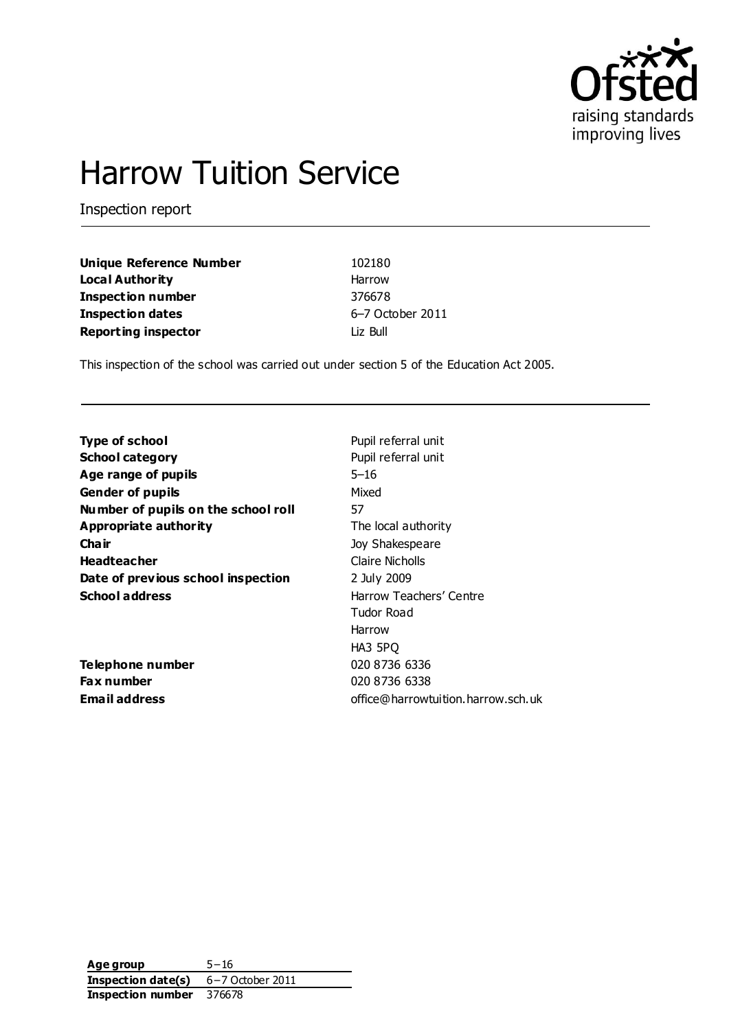

# Harrow Tuition Service

Inspection report

| Unique Reference Number    | 102180           |
|----------------------------|------------------|
| Local Authority            | Harrow           |
| <b>Inspection number</b>   | 376678           |
| <b>Inspection dates</b>    | 6-7 October 2011 |
| <b>Reporting inspector</b> | Liz Bull         |

This inspection of the school was carried out under section 5 of the Education Act 2005.

| <b>Type of school</b>               | Pupil referral unit                |
|-------------------------------------|------------------------------------|
| <b>School category</b>              | Pupil referral unit                |
| Age range of pupils                 | 5–16                               |
| <b>Gender of pupils</b>             | Mixed                              |
| Number of pupils on the school roll | 57                                 |
| Appropriate authority               | The local authority                |
| Cha ir                              | Joy Shakespeare                    |
| <b>Headteacher</b>                  | Claire Nicholls                    |
| Date of previous school inspection  | 2 July 2009                        |
| <b>School address</b>               | Harrow Teachers' Centre            |
|                                     | Tudor Road                         |
|                                     | Harrow                             |
|                                     | HA3 5PQ                            |
| Telephone number                    | 020 8736 6336                      |
| Fax number                          | 020 8736 6338                      |
| Email address                       | office@harrowtuition.harrow.sch.uk |

**Age group** 5−16 **Inspection date(s)** 6−7 October 2011 **Inspection number** 376678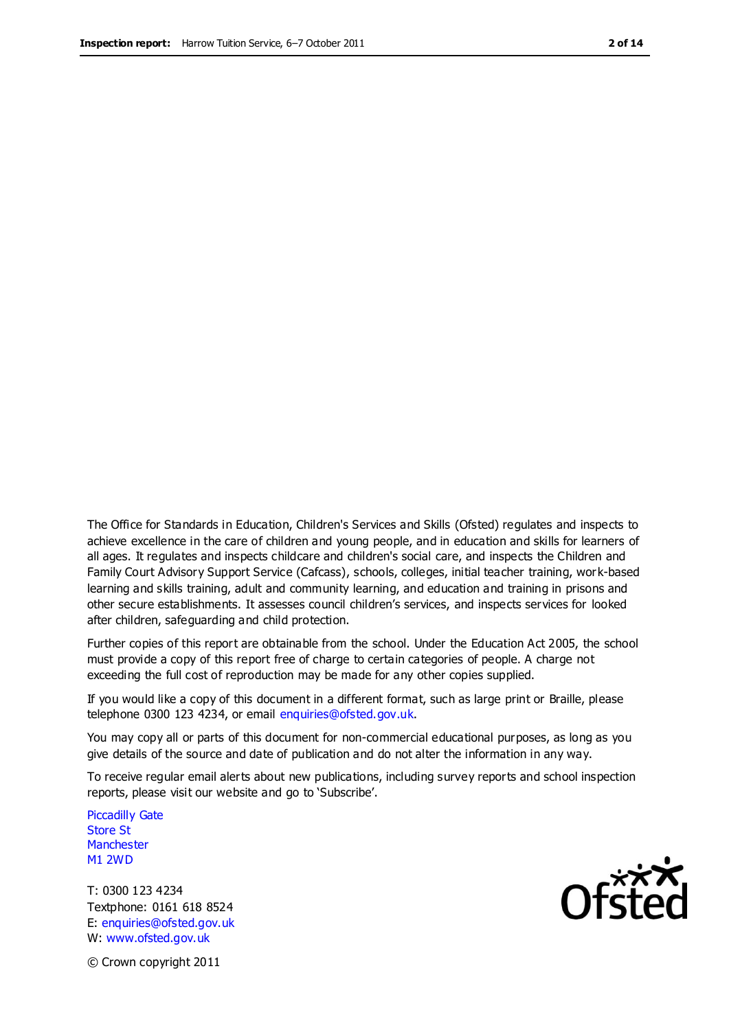The Office for Standards in Education, Children's Services and Skills (Ofsted) regulates and inspects to achieve excellence in the care of children and young people, and in education and skills for learners of all ages. It regulates and inspects childcare and children's social care, and inspects the Children and Family Court Advisory Support Service (Cafcass), schools, colleges, initial teacher training, work-based learning and skills training, adult and community learning, and education and training in prisons and other secure establishments. It assesses council children's services, and inspects services for looked after children, safeguarding and child protection.

Further copies of this report are obtainable from the school. Under the Education Act 2005, the school must provide a copy of this report free of charge to certain categories of people. A charge not exceeding the full cost of reproduction may be made for any other copies supplied.

If you would like a copy of this document in a different format, such as large print or Braille, please telephone 0300 123 4234, or email enquiries@ofsted.gov.uk.

You may copy all or parts of this document for non-commercial educational purposes, as long as you give details of the source and date of publication and do not alter the information in any way.

To receive regular email alerts about new publications, including survey reports and school inspection reports, please visit our website and go to 'Subscribe'.

Piccadilly Gate Store St **Manchester** M1 2WD

T: 0300 123 4234 Textphone: 0161 618 8524 E: enquiries@ofsted.gov.uk W: www.ofsted.gov.uk

**Ofsted** 

© Crown copyright 2011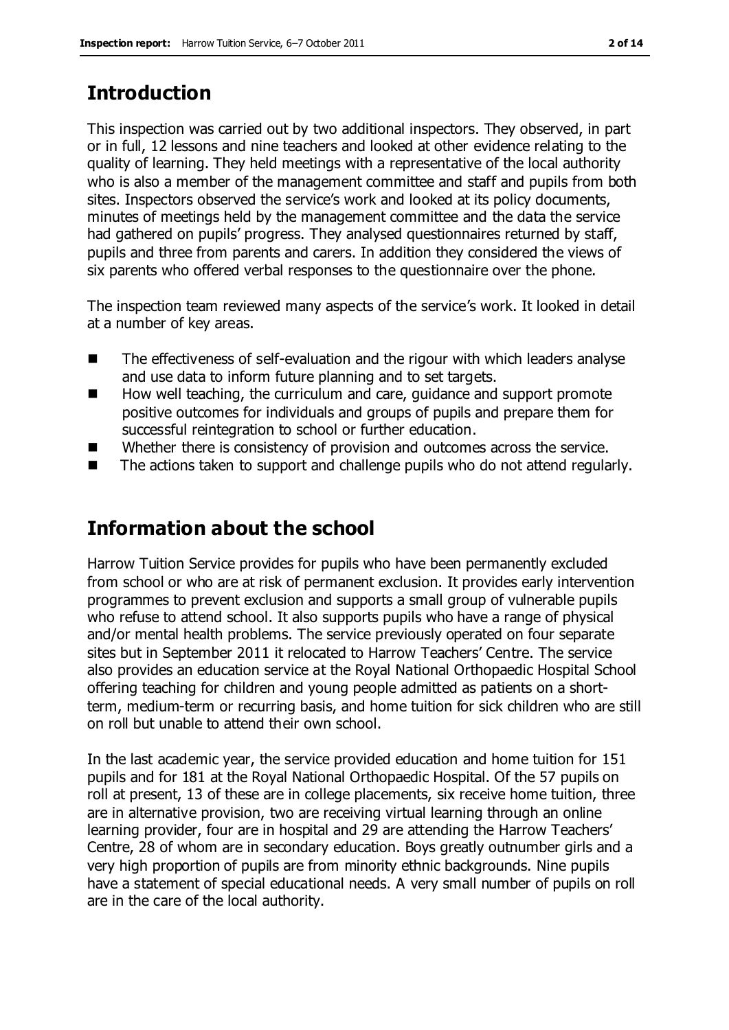## **Introduction**

This inspection was carried out by two additional inspectors. They observed, in part or in full, 12 lessons and nine teachers and looked at other evidence relating to the quality of learning. They held meetings with a representative of the local authority who is also a member of the management committee and staff and pupils from both sites. Inspectors observed the service's work and looked at its policy documents, minutes of meetings held by the management committee and the data the service had gathered on pupils' progress. They analysed questionnaires returned by staff, pupils and three from parents and carers. In addition they considered the views of six parents who offered verbal responses to the questionnaire over the phone.

The inspection team reviewed many aspects of the service's work. It looked in detail at a number of key areas.

- The effectiveness of self-evaluation and the rigour with which leaders analyse and use data to inform future planning and to set targets.
- How well teaching, the curriculum and care, guidance and support promote positive outcomes for individuals and groups of pupils and prepare them for successful reintegration to school or further education.
- Whether there is consistency of provision and outcomes across the service.
- The actions taken to support and challenge pupils who do not attend regularly.

# **Information about the school**

Harrow Tuition Service provides for pupils who have been permanently excluded from school or who are at risk of permanent exclusion. It provides early intervention programmes to prevent exclusion and supports a small group of vulnerable pupils who refuse to attend school. It also supports pupils who have a range of physical and/or mental health problems. The service previously operated on four separate sites but in September 2011 it relocated to Harrow Teachers' Centre. The service also provides an education service at the Royal National Orthopaedic Hospital School offering teaching for children and young people admitted as patients on a shortterm, medium-term or recurring basis, and home tuition for sick children who are still on roll but unable to attend their own school.

In the last academic year, the service provided education and home tuition for 151 pupils and for 181 at the Royal National Orthopaedic Hospital. Of the 57 pupils on roll at present, 13 of these are in college placements, six receive home tuition, three are in alternative provision, two are receiving virtual learning through an online learning provider, four are in hospital and 29 are attending the Harrow Teachers' Centre, 28 of whom are in secondary education. Boys greatly outnumber girls and a very high proportion of pupils are from minority ethnic backgrounds. Nine pupils have a statement of special educational needs. A very small number of pupils on roll are in the care of the local authority.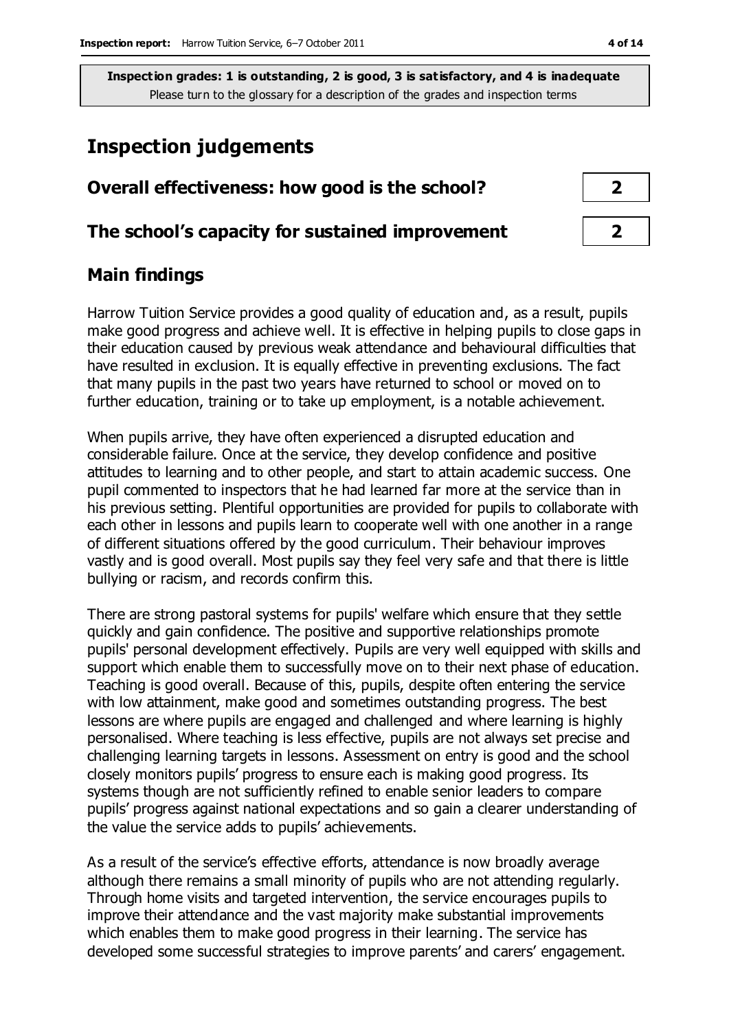## **Inspection judgements**

| Overall effectiveness: how good is the school?  |  |
|-------------------------------------------------|--|
| The school's capacity for sustained improvement |  |

## **Main findings**

Harrow Tuition Service provides a good quality of education and, as a result, pupils make good progress and achieve well. It is effective in helping pupils to close gaps in their education caused by previous weak attendance and behavioural difficulties that have resulted in exclusion. It is equally effective in preventing exclusions. The fact that many pupils in the past two years have returned to school or moved on to further education, training or to take up employment, is a notable achievement.

When pupils arrive, they have often experienced a disrupted education and considerable failure. Once at the service, they develop confidence and positive attitudes to learning and to other people, and start to attain academic success. One pupil commented to inspectors that he had learned far more at the service than in his previous setting. Plentiful opportunities are provided for pupils to collaborate with each other in lessons and pupils learn to cooperate well with one another in a range of different situations offered by the good curriculum. Their behaviour improves vastly and is good overall. Most pupils say they feel very safe and that there is little bullying or racism, and records confirm this.

There are strong pastoral systems for pupils' welfare which ensure that they settle quickly and gain confidence. The positive and supportive relationships promote pupils' personal development effectively. Pupils are very well equipped with skills and support which enable them to successfully move on to their next phase of education. Teaching is good overall. Because of this, pupils, despite often entering the service with low attainment, make good and sometimes outstanding progress. The best lessons are where pupils are engaged and challenged and where learning is highly personalised. Where teaching is less effective, pupils are not always set precise and challenging learning targets in lessons. Assessment on entry is good and the school closely monitors pupils' progress to ensure each is making good progress. Its systems though are not sufficiently refined to enable senior leaders to compare pupils' progress against national expectations and so gain a clearer understanding of the value the service adds to pupils' achievements.

As a result of the service's effective efforts, attendance is now broadly average although there remains a small minority of pupils who are not attending regularly. Through home visits and targeted intervention, the service encourages pupils to improve their attendance and the vast majority make substantial improvements which enables them to make good progress in their learning. The service has developed some successful strategies to improve parents' and carers' engagement.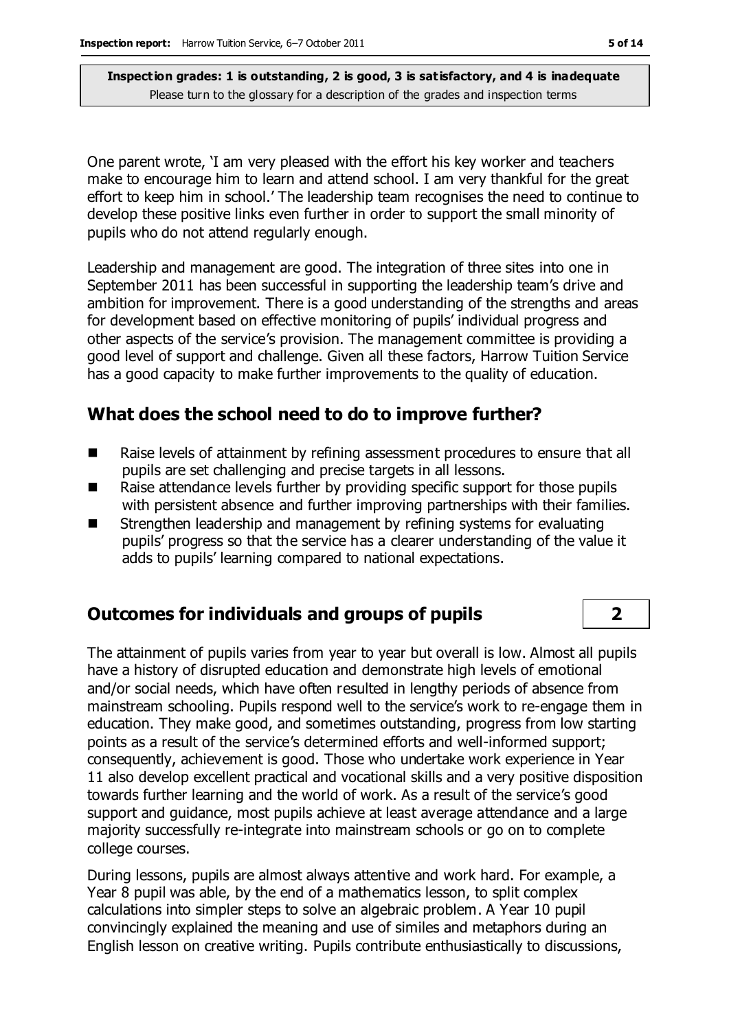One parent wrote, 'I am very pleased with the effort his key worker and teachers make to encourage him to learn and attend school. I am very thankful for the great effort to keep him in school.' The leadership team recognises the need to continue to develop these positive links even further in order to support the small minority of pupils who do not attend regularly enough.

Leadership and management are good. The integration of three sites into one in September 2011 has been successful in supporting the leadership team's drive and ambition for improvement. There is a good understanding of the strengths and areas for development based on effective monitoring of pupils' individual progress and other aspects of the service's provision. The management committee is providing a good level of support and challenge. Given all these factors, Harrow Tuition Service has a good capacity to make further improvements to the quality of education.

#### **What does the school need to do to improve further?**

- Raise levels of attainment by refining assessment procedures to ensure that all pupils are set challenging and precise targets in all lessons.
- Raise attendance levels further by providing specific support for those pupils with persistent absence and further improving partnerships with their families.
- Strengthen leadership and management by refining systems for evaluating pupils' progress so that the service has a clearer understanding of the value it adds to pupils' learning compared to national expectations.

#### **Outcomes for individuals and groups of pupils 2**

The attainment of pupils varies from year to year but overall is low. Almost all pupils have a history of disrupted education and demonstrate high levels of emotional and/or social needs, which have often resulted in lengthy periods of absence from mainstream schooling. Pupils respond well to the service's work to re-engage them in education. They make good, and sometimes outstanding, progress from low starting points as a result of the service's determined efforts and well-informed support; consequently, achievement is good. Those who undertake work experience in Year 11 also develop excellent practical and vocational skills and a very positive disposition towards further learning and the world of work. As a result of the service's good support and guidance, most pupils achieve at least average attendance and a large majority successfully re-integrate into mainstream schools or go on to complete college courses.

During lessons, pupils are almost always attentive and work hard. For example, a Year 8 pupil was able, by the end of a mathematics lesson, to split complex calculations into simpler steps to solve an algebraic problem. A Year 10 pupil convincingly explained the meaning and use of similes and metaphors during an English lesson on creative writing. Pupils contribute enthusiastically to discussions,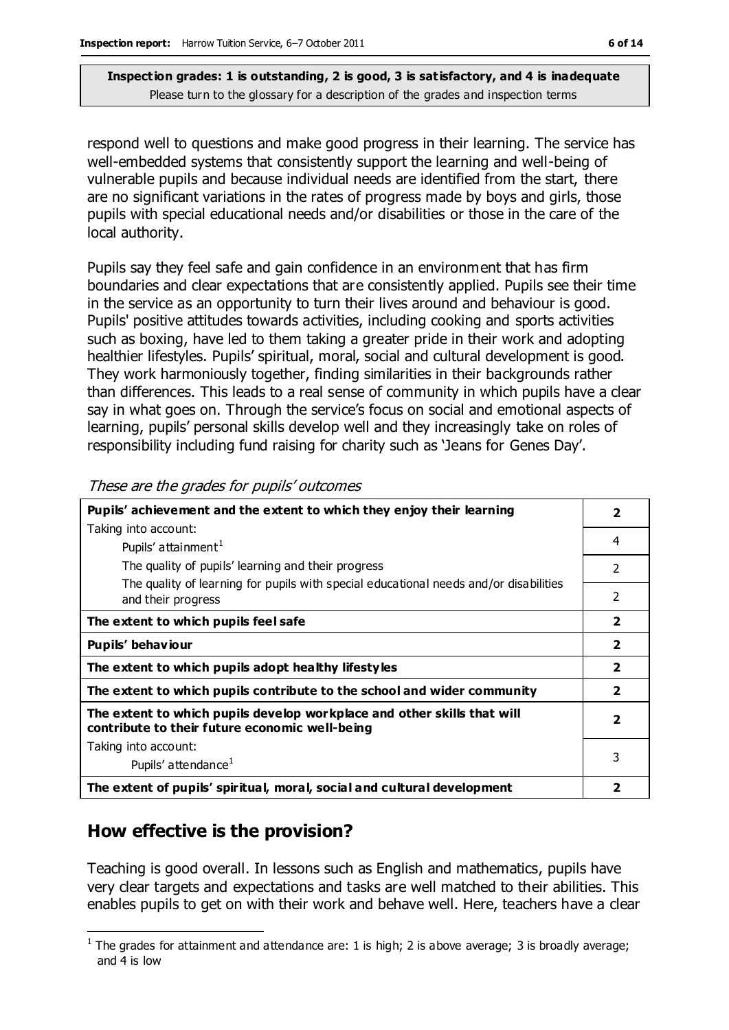respond well to questions and make good progress in their learning. The service has well-embedded systems that consistently support the learning and well-being of vulnerable pupils and because individual needs are identified from the start, there are no significant variations in the rates of progress made by boys and girls, those pupils with special educational needs and/or disabilities or those in the care of the local authority.

Pupils say they feel safe and gain confidence in an environment that has firm boundaries and clear expectations that are consistently applied. Pupils see their time in the service as an opportunity to turn their lives around and behaviour is good. Pupils' positive attitudes towards activities, including cooking and sports activities such as boxing, have led to them taking a greater pride in their work and adopting healthier lifestyles. Pupils' spiritual, moral, social and cultural development is good. They work harmoniously together, finding similarities in their backgrounds rather than differences. This leads to a real sense of community in which pupils have a clear say in what goes on. Through the service's focus on social and emotional aspects of learning, pupils' personal skills develop well and they increasingly take on roles of responsibility including fund raising for charity such as 'Jeans for Genes Day'.

| Pupils' achievement and the extent to which they enjoy their learning                                                     | $\overline{\mathbf{2}}$ |
|---------------------------------------------------------------------------------------------------------------------------|-------------------------|
| Taking into account:                                                                                                      |                         |
| Pupils' attainment <sup>1</sup>                                                                                           | 4                       |
| The quality of pupils' learning and their progress                                                                        | $\overline{2}$          |
| The quality of learning for pupils with special educational needs and/or disabilities<br>and their progress               | 2                       |
| The extent to which pupils feel safe                                                                                      |                         |
| Pupils' behaviour                                                                                                         |                         |
| The extent to which pupils adopt healthy lifestyles                                                                       |                         |
| The extent to which pupils contribute to the school and wider community                                                   | $\overline{\mathbf{2}}$ |
| The extent to which pupils develop workplace and other skills that will<br>contribute to their future economic well-being | $\overline{2}$          |
| Taking into account:                                                                                                      |                         |
| Pupils' attendance <sup>1</sup>                                                                                           | 3                       |
| The extent of pupils' spiritual, moral, social and cultural development                                                   | 2                       |

These are the grades for pupils' outcomes

## **How effective is the provision?**

Teaching is good overall. In lessons such as English and mathematics, pupils have very clear targets and expectations and tasks are well matched to their abilities. This enables pupils to get on with their work and behave well. Here, teachers have a clear

 $\overline{a}$ <sup>1</sup> The grades for attainment and attendance are: 1 is high; 2 is above average; 3 is broadly average; and 4 is low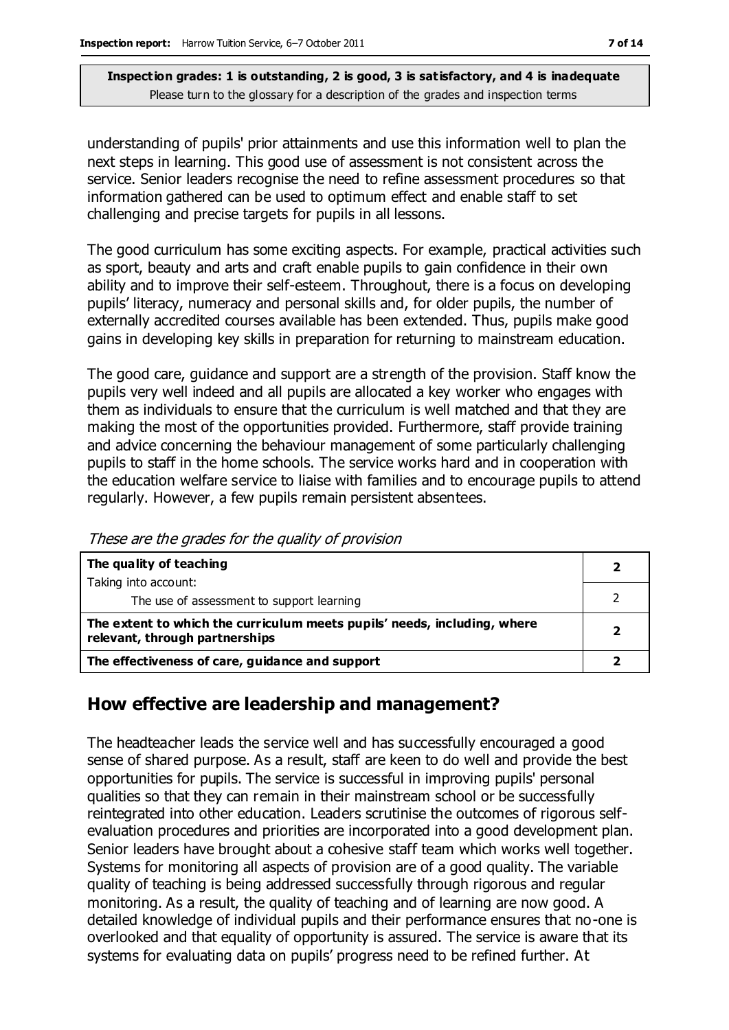understanding of pupils' prior attainments and use this information well to plan the next steps in learning. This good use of assessment is not consistent across the service. Senior leaders recognise the need to refine assessment procedures so that information gathered can be used to optimum effect and enable staff to set challenging and precise targets for pupils in all lessons.

The good curriculum has some exciting aspects. For example, practical activities such as sport, beauty and arts and craft enable pupils to gain confidence in their own ability and to improve their self-esteem. Throughout, there is a focus on developing pupils' literacy, numeracy and personal skills and, for older pupils, the number of externally accredited courses available has been extended. Thus, pupils make good gains in developing key skills in preparation for returning to mainstream education.

The good care, guidance and support are a strength of the provision. Staff know the pupils very well indeed and all pupils are allocated a key worker who engages with them as individuals to ensure that the curriculum is well matched and that they are making the most of the opportunities provided. Furthermore, staff provide training and advice concerning the behaviour management of some particularly challenging pupils to staff in the home schools. The service works hard and in cooperation with the education welfare service to liaise with families and to encourage pupils to attend regularly. However, a few pupils remain persistent absentees.

These are the grades for the quality of provision

| The quality of teaching                                                                                    |  |
|------------------------------------------------------------------------------------------------------------|--|
| Taking into account:                                                                                       |  |
| The use of assessment to support learning                                                                  |  |
| The extent to which the curriculum meets pupils' needs, including, where<br>relevant, through partnerships |  |
| The effectiveness of care, guidance and support                                                            |  |

### **How effective are leadership and management?**

The headteacher leads the service well and has successfully encouraged a good sense of shared purpose. As a result, staff are keen to do well and provide the best opportunities for pupils. The service is successful in improving pupils' personal qualities so that they can remain in their mainstream school or be successfully reintegrated into other education. Leaders scrutinise the outcomes of rigorous selfevaluation procedures and priorities are incorporated into a good development plan. Senior leaders have brought about a cohesive staff team which works well together. Systems for monitoring all aspects of provision are of a good quality. The variable quality of teaching is being addressed successfully through rigorous and regular monitoring. As a result, the quality of teaching and of learning are now good. A detailed knowledge of individual pupils and their performance ensures that no-one is overlooked and that equality of opportunity is assured. The service is aware that its systems for evaluating data on pupils' progress need to be refined further. At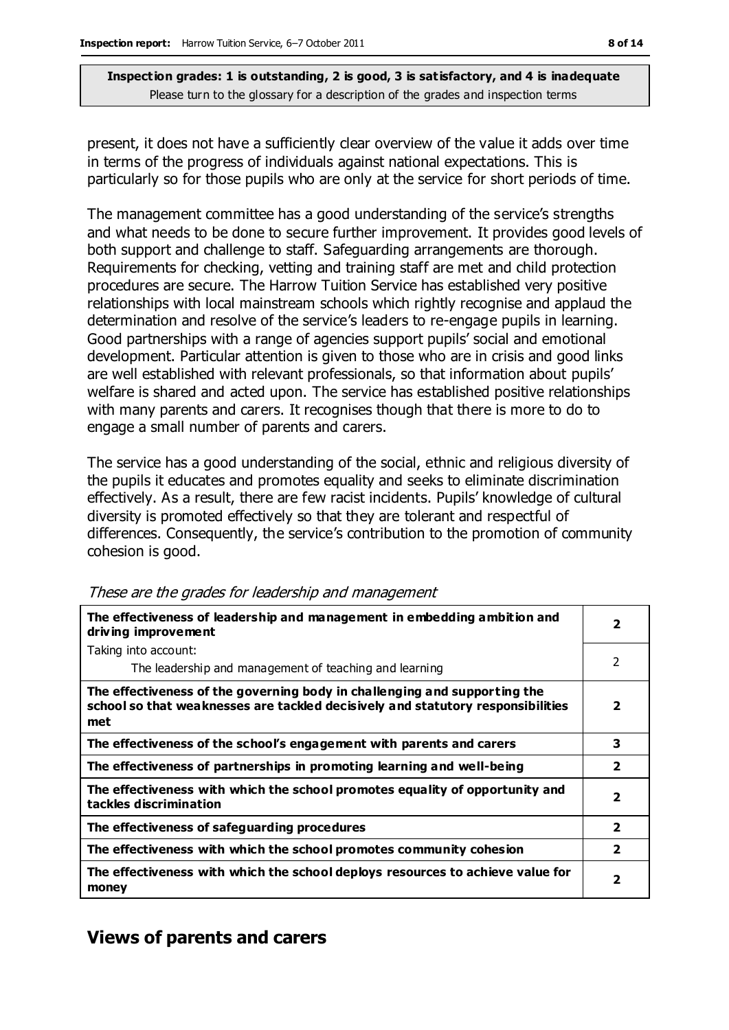present, it does not have a sufficiently clear overview of the value it adds over time in terms of the progress of individuals against national expectations. This is particularly so for those pupils who are only at the service for short periods of time.

The management committee has a good understanding of the service's strengths and what needs to be done to secure further improvement. It provides good levels of both support and challenge to staff. Safeguarding arrangements are thorough. Requirements for checking, vetting and training staff are met and child protection procedures are secure. The Harrow Tuition Service has established very positive relationships with local mainstream schools which rightly recognise and applaud the determination and resolve of the service's leaders to re-engage pupils in learning. Good partnerships with a range of agencies support pupils' social and emotional development. Particular attention is given to those who are in crisis and good links are well established with relevant professionals, so that information about pupils' welfare is shared and acted upon. The service has established positive relationships with many parents and carers. It recognises though that there is more to do to engage a small number of parents and carers.

The service has a good understanding of the social, ethnic and religious diversity of the pupils it educates and promotes equality and seeks to eliminate discrimination effectively. As a result, there are few racist incidents. Pupils' knowledge of cultural diversity is promoted effectively so that they are tolerant and respectful of differences. Consequently, the service's contribution to the promotion of community cohesion is good.

| The effectiveness of leadership and management in embedding ambition and<br>driving improvement                                                                     |                |
|---------------------------------------------------------------------------------------------------------------------------------------------------------------------|----------------|
| Taking into account:                                                                                                                                                |                |
| The leadership and management of teaching and learning                                                                                                              | 2              |
| The effectiveness of the governing body in challenging and supporting the<br>school so that weaknesses are tackled decisively and statutory responsibilities<br>met | 2              |
| The effectiveness of the school's engagement with parents and carers                                                                                                | 3              |
| The effectiveness of partnerships in promoting learning and well-being                                                                                              | $\overline{2}$ |
| The effectiveness with which the school promotes equality of opportunity and<br>tackles discrimination                                                              | $\overline{2}$ |
| The effectiveness of safeguarding procedures                                                                                                                        | $\overline{2}$ |
| The effectiveness with which the school promotes community cohesion                                                                                                 | 2              |
| The effectiveness with which the school deploys resources to achieve value for<br>money                                                                             | 2              |

These are the grades for leadership and management

## **Views of parents and carers**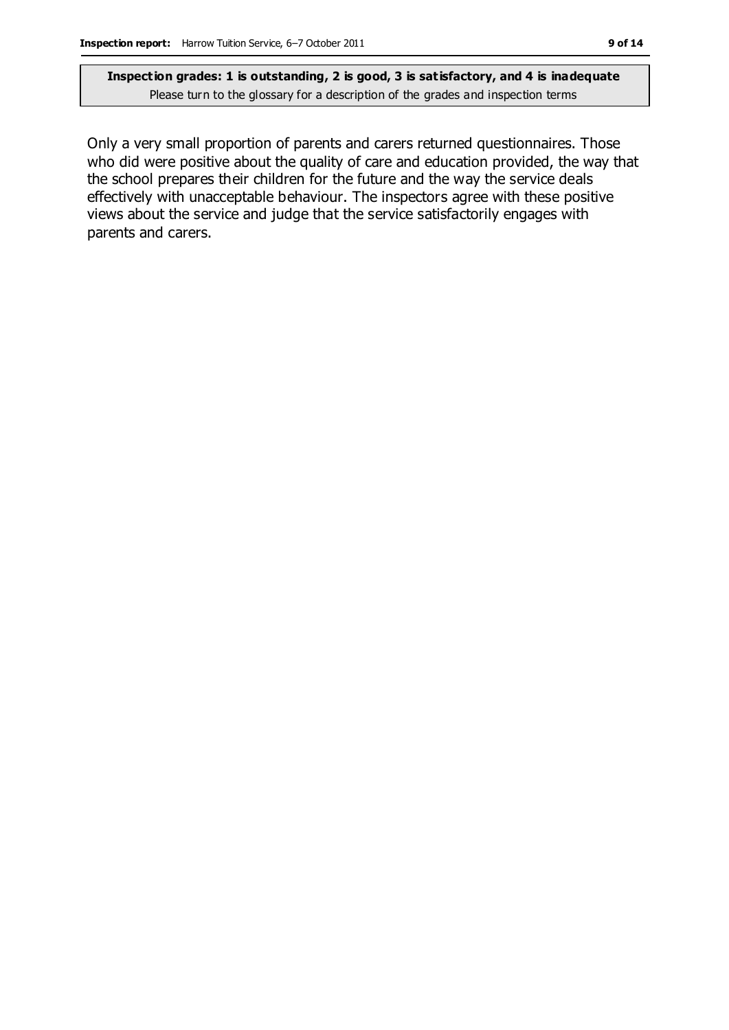Only a very small proportion of parents and carers returned questionnaires. Those who did were positive about the quality of care and education provided, the way that the school prepares their children for the future and the way the service deals effectively with unacceptable behaviour. The inspectors agree with these positive views about the service and judge that the service satisfactorily engages with parents and carers.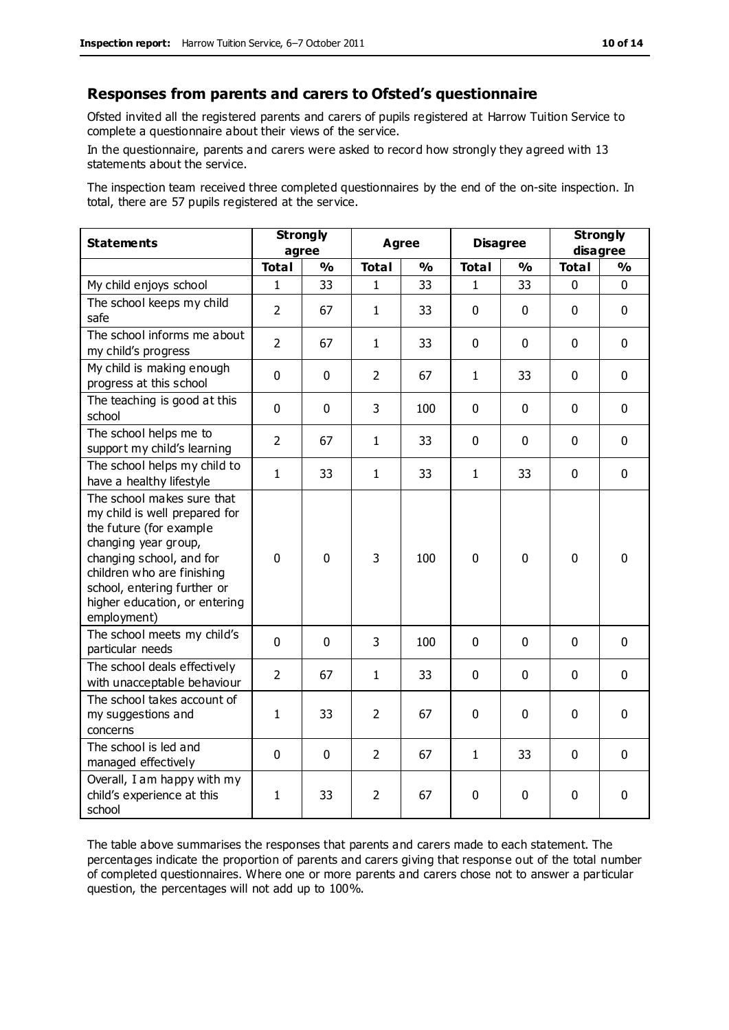#### **Responses from parents and carers to Ofsted's questionnaire**

Ofsted invited all the registered parents and carers of pupils registered at Harrow Tuition Service to complete a questionnaire about their views of the service.

In the questionnaire, parents and carers were asked to record how strongly they agreed with 13 statements about the service.

The inspection team received three completed questionnaires by the end of the on-site inspection. In total, there are 57 pupils registered at the service.

| <b>Statements</b>                                                                                                                                                                                                                                       | <b>Strongly</b><br>agree |               | <b>Agree</b>   |               | <b>Disagree</b> |               | <b>Strongly</b><br>disagree |               |
|---------------------------------------------------------------------------------------------------------------------------------------------------------------------------------------------------------------------------------------------------------|--------------------------|---------------|----------------|---------------|-----------------|---------------|-----------------------------|---------------|
|                                                                                                                                                                                                                                                         | <b>Total</b>             | $\frac{1}{2}$ | <b>Total</b>   | $\frac{1}{2}$ | <b>Total</b>    | $\frac{1}{2}$ | <b>Total</b>                | $\frac{1}{2}$ |
| My child enjoys school                                                                                                                                                                                                                                  | $\mathbf{1}$             | 33            | $\mathbf{1}$   | 33            | $\mathbf{1}$    | 33            | $\mathbf 0$                 | $\mathbf 0$   |
| The school keeps my child<br>safe                                                                                                                                                                                                                       | $\overline{2}$           | 67            | $\mathbf{1}$   | 33            | $\mathbf 0$     | $\mathbf{0}$  | $\mathbf 0$                 | $\mathbf 0$   |
| The school informs me about<br>my child's progress                                                                                                                                                                                                      | $\overline{2}$           | 67            | $\mathbf{1}$   | 33            | $\mathbf 0$     | $\mathbf 0$   | $\mathbf 0$                 | $\mathbf 0$   |
| My child is making enough<br>progress at this school                                                                                                                                                                                                    | $\Omega$                 | $\mathbf 0$   | $\overline{2}$ | 67            | $\mathbf{1}$    | 33            | $\mathbf 0$                 | $\mathbf 0$   |
| The teaching is good at this<br>school                                                                                                                                                                                                                  | $\mathbf{0}$             | $\mathbf 0$   | 3              | 100           | 0               | $\mathbf 0$   | $\mathbf 0$                 | $\mathbf 0$   |
| The school helps me to<br>support my child's learning                                                                                                                                                                                                   | $\overline{2}$           | 67            | $\mathbf{1}$   | 33            | 0               | $\Omega$      | $\Omega$                    | $\mathbf 0$   |
| The school helps my child to<br>have a healthy lifestyle                                                                                                                                                                                                | $\mathbf{1}$             | 33            | $\mathbf{1}$   | 33            | $\mathbf{1}$    | 33            | $\mathbf 0$                 | $\mathbf 0$   |
| The school makes sure that<br>my child is well prepared for<br>the future (for example<br>changing year group,<br>changing school, and for<br>children who are finishing<br>school, entering further or<br>higher education, or entering<br>employment) | $\mathbf 0$              | $\mathbf 0$   | 3              | 100           | 0               | $\mathbf 0$   | $\mathbf{0}$                | 0             |
| The school meets my child's<br>particular needs                                                                                                                                                                                                         | $\mathbf 0$              | $\mathbf 0$   | 3              | 100           | $\mathbf{0}$    | $\mathbf 0$   | $\mathbf 0$                 | $\mathbf 0$   |
| The school deals effectively<br>with unacceptable behaviour                                                                                                                                                                                             | $\overline{2}$           | 67            | $\mathbf{1}$   | 33            | 0               | $\mathbf{0}$  | $\mathbf 0$                 | $\mathbf 0$   |
| The school takes account of<br>my suggestions and<br>concerns                                                                                                                                                                                           | $\mathbf{1}$             | 33            | $\overline{2}$ | 67            | $\mathbf 0$     | $\mathbf 0$   | $\mathbf 0$                 | $\mathbf 0$   |
| The school is led and<br>managed effectively                                                                                                                                                                                                            | $\mathbf 0$              | $\mathbf 0$   | $\overline{2}$ | 67            | $\mathbf{1}$    | 33            | $\mathbf 0$                 | $\mathbf 0$   |
| Overall, I am happy with my<br>child's experience at this<br>school                                                                                                                                                                                     | $\mathbf{1}$             | 33            | $\overline{2}$ | 67            | 0               | $\mathbf 0$   | $\mathbf 0$                 | $\mathbf 0$   |

The table above summarises the responses that parents and carers made to each statement. The percentages indicate the proportion of parents and carers giving that response out of the total number of completed questionnaires. Where one or more parents and carers chose not to answer a particular question, the percentages will not add up to 100%.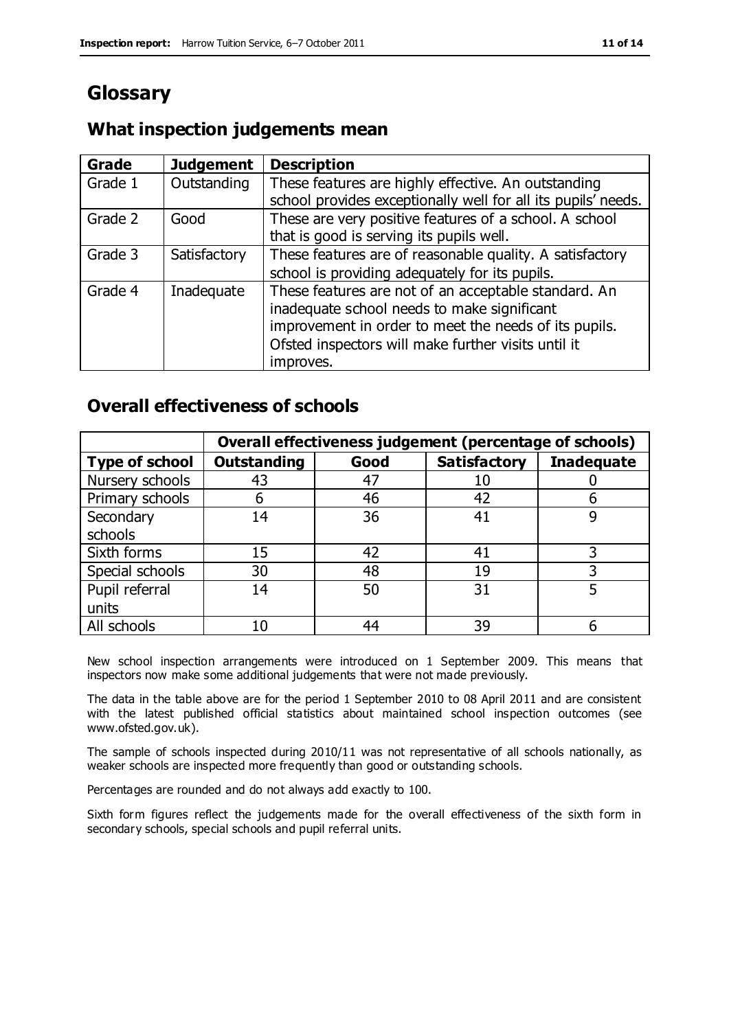# **Glossary**

### **What inspection judgements mean**

| Grade   | <b>Judgement</b> | <b>Description</b>                                            |
|---------|------------------|---------------------------------------------------------------|
| Grade 1 | Outstanding      | These features are highly effective. An outstanding           |
|         |                  | school provides exceptionally well for all its pupils' needs. |
| Grade 2 | Good             | These are very positive features of a school. A school        |
|         |                  | that is good is serving its pupils well.                      |
| Grade 3 | Satisfactory     | These features are of reasonable quality. A satisfactory      |
|         |                  | school is providing adequately for its pupils.                |
| Grade 4 | Inadequate       | These features are not of an acceptable standard. An          |
|         |                  | inadequate school needs to make significant                   |
|         |                  | improvement in order to meet the needs of its pupils.         |
|         |                  | Ofsted inspectors will make further visits until it           |
|         |                  | improves.                                                     |

### **Overall effectiveness of schools**

|                       | Overall effectiveness judgement (percentage of schools) |      |                     |                   |
|-----------------------|---------------------------------------------------------|------|---------------------|-------------------|
| <b>Type of school</b> | <b>Outstanding</b>                                      | Good | <b>Satisfactory</b> | <b>Inadequate</b> |
| Nursery schools       | 43                                                      | 47   | 10                  |                   |
| Primary schools       | 6                                                       | 46   | 42                  |                   |
| Secondary             | 14                                                      | 36   | 41                  |                   |
| schools               |                                                         |      |                     |                   |
| Sixth forms           | 15                                                      | 42   | 41                  | 3                 |
| Special schools       | 30                                                      | 48   | 19                  |                   |
| Pupil referral        | 14                                                      | 50   | 31                  |                   |
| units                 |                                                         |      |                     |                   |
| All schools           | 10                                                      | 44   | 39                  |                   |

New school inspection arrangements were introduced on 1 September 2009. This means that inspectors now make some additional judgements that were not made previously.

The data in the table above are for the period 1 September 2010 to 08 April 2011 and are consistent with the latest published official statistics about maintained school inspection outcomes (see www.ofsted.gov.uk).

The sample of schools inspected during 2010/11 was not representative of all schools nationally, as weaker schools are inspected more frequently than good or outstanding schools.

Percentages are rounded and do not always add exactly to 100.

Sixth form figures reflect the judgements made for the overall effectiveness of the sixth form in secondary schools, special schools and pupil referral units.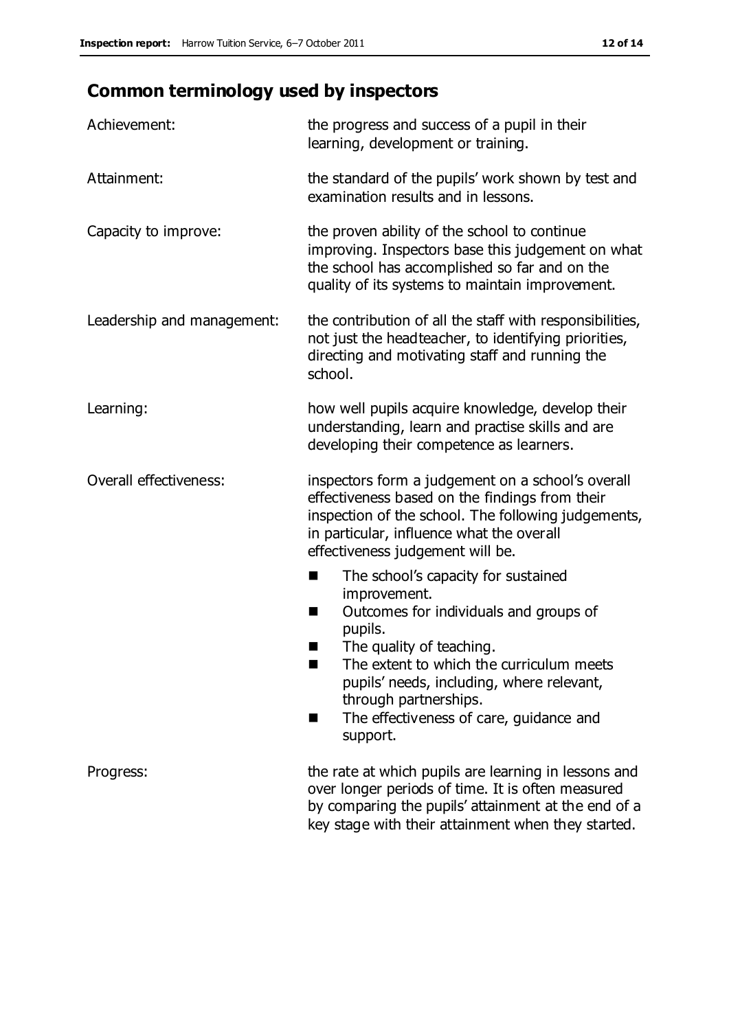# **Common terminology used by inspectors**

| Achievement:               | the progress and success of a pupil in their<br>learning, development or training.                                                                                                                                                                                                                                           |  |  |
|----------------------------|------------------------------------------------------------------------------------------------------------------------------------------------------------------------------------------------------------------------------------------------------------------------------------------------------------------------------|--|--|
| Attainment:                | the standard of the pupils' work shown by test and<br>examination results and in lessons.                                                                                                                                                                                                                                    |  |  |
| Capacity to improve:       | the proven ability of the school to continue<br>improving. Inspectors base this judgement on what<br>the school has accomplished so far and on the<br>quality of its systems to maintain improvement.                                                                                                                        |  |  |
| Leadership and management: | the contribution of all the staff with responsibilities,<br>not just the headteacher, to identifying priorities,<br>directing and motivating staff and running the<br>school.                                                                                                                                                |  |  |
| Learning:                  | how well pupils acquire knowledge, develop their<br>understanding, learn and practise skills and are<br>developing their competence as learners.                                                                                                                                                                             |  |  |
| Overall effectiveness:     | inspectors form a judgement on a school's overall<br>effectiveness based on the findings from their<br>inspection of the school. The following judgements,<br>in particular, influence what the overall<br>effectiveness judgement will be.                                                                                  |  |  |
|                            | The school's capacity for sustained<br>٠<br>improvement.<br>Outcomes for individuals and groups of<br>п<br>pupils.<br>The quality of teaching.<br>The extent to which the curriculum meets<br>pupils' needs, including, where relevant,<br>through partnerships.<br>The effectiveness of care, guidance and<br>ш<br>support. |  |  |
| Progress:                  | the rate at which pupils are learning in lessons and<br>over longer periods of time. It is often measured<br>by comparing the pupils' attainment at the end of a<br>key stage with their attainment when they started.                                                                                                       |  |  |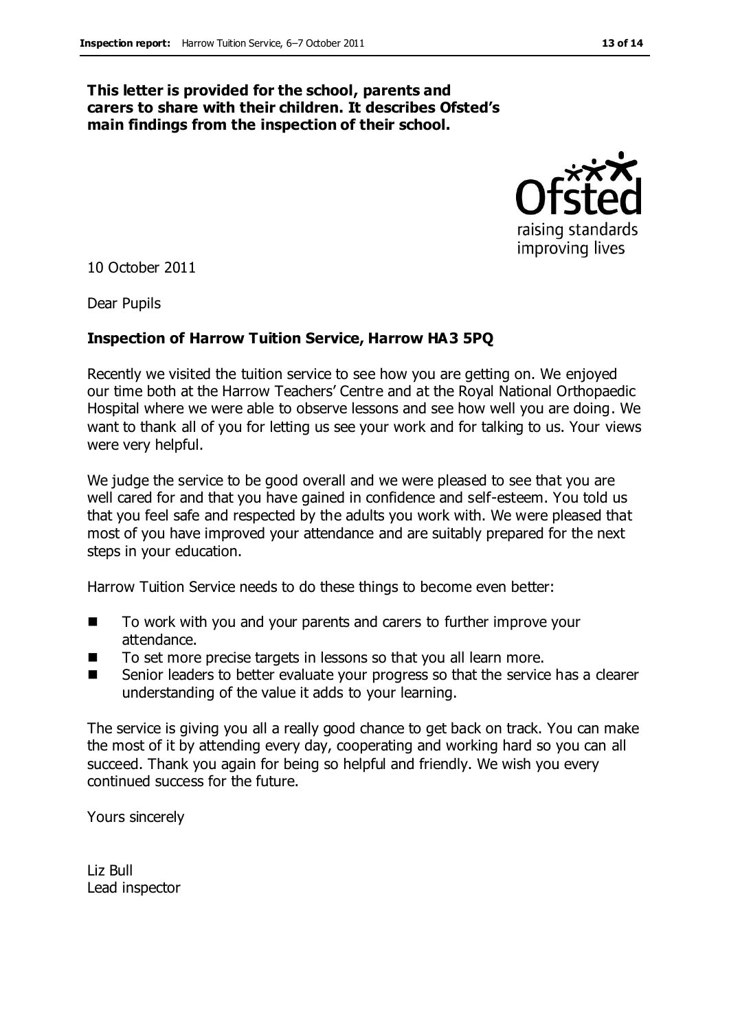#### **This letter is provided for the school, parents and carers to share with their children. It describes Ofsted's main findings from the inspection of their school.**



10 October 2011

Dear Pupils

#### **Inspection of Harrow Tuition Service, Harrow HA3 5PQ**

Recently we visited the tuition service to see how you are getting on. We enjoyed our time both at the Harrow Teachers' Centre and at the Royal National Orthopaedic Hospital where we were able to observe lessons and see how well you are doing. We want to thank all of you for letting us see your work and for talking to us. Your views were very helpful.

We judge the service to be good overall and we were pleased to see that you are well cared for and that you have gained in confidence and self-esteem. You told us that you feel safe and respected by the adults you work with. We were pleased that most of you have improved your attendance and are suitably prepared for the next steps in your education.

Harrow Tuition Service needs to do these things to become even better:

- To work with you and your parents and carers to further improve your attendance.
- To set more precise targets in lessons so that you all learn more.
- Senior leaders to better evaluate your progress so that the service has a clearer understanding of the value it adds to your learning.

The service is giving you all a really good chance to get back on track. You can make the most of it by attending every day, cooperating and working hard so you can all succeed. Thank you again for being so helpful and friendly. We wish you every continued success for the future.

Yours sincerely

Liz Bull Lead inspector